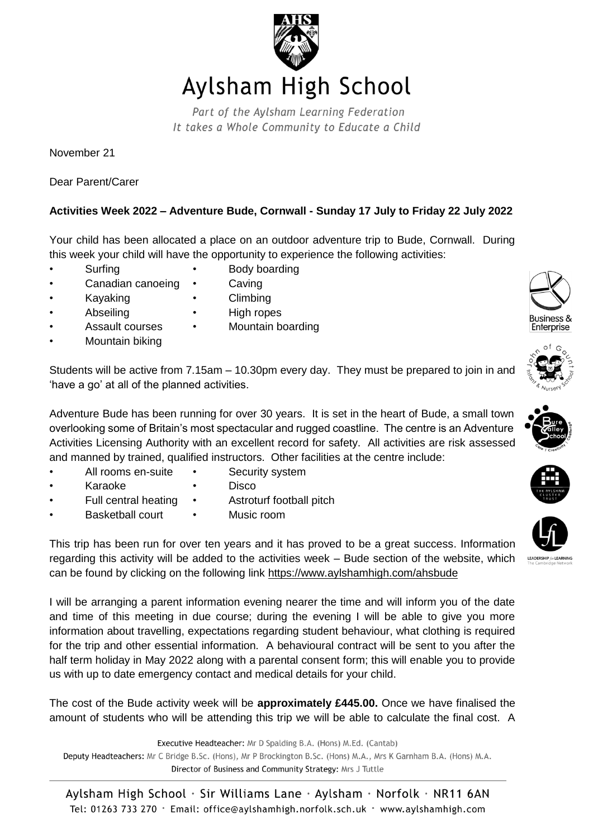

## Aylsham High School

Part of the Aylsham Learning Federation It takes a Whole Community to Educate a Child

November 21

Dear Parent/Carer

## **Activities Week 2022 – Adventure Bude, Cornwall - Sunday 17 July to Friday 22 July 2022**

Your child has been allocated a place on an outdoor adventure trip to Bude, Cornwall. During this week your child will have the opportunity to experience the following activities:

- 
- Surfing Body boarding
- Canadian canoeing Caving
	-
- Kayaking Climbing
	- Abseiling High ropes
- 
- Assault courses Mountain boarding
- Mountain biking

Students will be active from 7.15am – 10.30pm every day. They must be prepared to join in and 'have a go' at all of the planned activities.

Adventure Bude has been running for over 30 years. It is set in the heart of Bude, a small town overlooking some of Britain's most spectacular and rugged coastline. The centre is an Adventure Activities Licensing Authority with an excellent record for safety. All activities are risk assessed and manned by trained, qualified instructors. Other facilities at the centre include:

- All rooms en-suite Security system
- 
- 
- Karaoke Disco
- Full central heating Astroturf football pitch
	- Basketball court Music room

This trip has been run for over ten years and it has proved to be a great success. Information regarding this activity will be added to the activities week – Bude section of the website, which can be found by clicking on the following link<https://www.aylshamhigh.com/ahsbude>

I will be arranging a parent information evening nearer the time and will inform you of the date and time of this meeting in due course; during the evening I will be able to give you more information about travelling, expectations regarding student behaviour, what clothing is required for the trip and other essential information. A behavioural contract will be sent to you after the half term holiday in May 2022 along with a parental consent form; this will enable you to provide us with up to date emergency contact and medical details for your child.

The cost of the Bude activity week will be **approximately £445.00.** Once we have finalised the amount of students who will be attending this trip we will be able to calculate the final cost. A

Executive Headteacher: Mr D Spalding B.A. (Hons) M.Ed. (Cantab) Deputy Headteachers: Mr C Bridge B.Sc. (Hons), Mr P Brockington B.Sc. (Hons) M.A., Mrs K Garnham B.A. (Hons) M.A. Director of Business and Community Strategy: Mrs J Tuttle